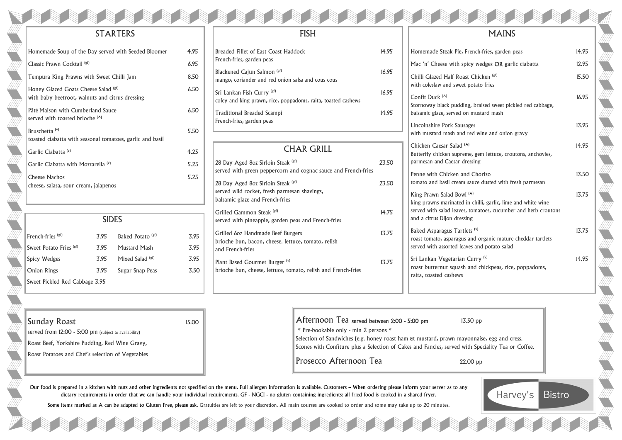

Chicken Caesar Salad (A) Butterfly chicken supreme parmesan and Caesar dres

Penne with Chicken and tomato and basil cream sat

King Prawn Salad Bowl<sup>(1)</sup>  $k$ ing prawns marinated in served with salad leaves, to and a citrus Dijon dressing

Baked Asparagus Tartlets roast tomato, asparagus and roast tartlets served with assorted leave

Sri Lankan Vegetarian C roast butternut squash and raita, toasted cashews

| ench-fries, garden peas                                                                    | 14.95 |
|--------------------------------------------------------------------------------------------|-------|
| cy wedges OR garlic ciabatta                                                               | 12.95 |
| Chicken <sup>(gf)</sup><br>ootato fries                                                    | 15.50 |
| t, braised sweet pickled red cabbage,<br>mustard mash                                      | 16.95 |
| ges<br>ed wine and onion gravy                                                             | 13.95 |
| e, gem lettuce, croutons, anchovies,<br>ssing                                              | 14.95 |
| <b>Chorizo</b><br>auce dusted with fresh parmesan                                          | 13.50 |
| (A)<br>I chilli, garlic, lime and white wine<br>tomatoes, cucumber and herb croutons<br>ıg | 13.75 |
| r(s)<br>and organic mature cheddar tartlets<br>es and potato salad                         | 13.75 |
| Curry <sup>(v)</sup><br>and chickpeas, rice, poppadoms,                                    | 14.95 |

onnaise, egg and cress. ith Speciality Tea or Coffee.



**Bistro** 



# **STARTERS**

| Homemade Soup of the Day served with Seeded Bloomer                                     | 4.95 |
|-----------------------------------------------------------------------------------------|------|
| Classic Prawn Cocktail (sf)                                                             | 6.95 |
| Tempura King Prawns with Sweet Chilli Jam                                               | 8.50 |
| Honey Glazed Goats Cheese Salad (gf)<br>with baby beetroot, walnuts and citrus dressing | 6.50 |
| Pâté Maison with Cumberland Sauce<br>served with toasted brioche <sup>(A)</sup>         | 6.50 |
| Bruschetta <sup>(v)</sup><br>toasted ciabatta with seasonal tomatoes, garlic and basil  | 5.50 |
| Garlic Ciabatta <sup>(v)</sup>                                                          | 4.25 |
| Garlic Ciabatta with Mozzarella <sup>(v)</sup>                                          | 5.25 |
| <b>Cheese Nachos</b><br>cheese, salasa, sour cream, jalapenos                           | 5.25 |
|                                                                                         |      |

Our food is prepared in a kitchen with nuts and other ingredients not specified on the menu. Full allergen Information is available. Customers – When ordering please inform your server as to any dietary requirements in order that we can handle your individual requirements. GF - NGCI - no gluten containing ingredients: all fried food is cooked in a shared fryer.

Some items marked as A can be adapted to Gluten Free, please ask. Gratuities are left to your discretion. All main courses are cooked to order and some may take up to 20 minutes.

# FISH

# French-fries (gf) 3.95 Baked Potato<sup>(gf)</sup> SIDES

| Breaded Fillet of East Coast Haddock<br>French-fries, garden peas                           | 14.95 |
|---------------------------------------------------------------------------------------------|-------|
| Blackened Cajun Salmon (sf)<br>mango, coriander and red onion salsa and cous cous           | 16.95 |
| Sri Lankan Fish Curry (gf)<br>coley and king prawn, rice, poppadoms, raita, toasted cashews | 16.95 |
| <b>Traditional Breaded Scampi</b><br>French-fries, garden peas                              | 14.95 |

served from 12:00 - 5:00 pm (subject to availability) Roast Beef, Yorkshire Pudding, Red Wine Gravy, Roast Potatoes and Chef's selection of Vegetables

# CHAR GRILL

| 28 Day Aged 80z Sirloin Steak [gf]<br>served with green peppercorn and cognac sauce and French-fries                  | 23.50 |
|-----------------------------------------------------------------------------------------------------------------------|-------|
| 28 Day Aged 80z Sirloin Steak [gf]<br>served wild rocket, fresh parmesan shavings,<br>balsamic glaze and French-fries | 23.50 |
| Grilled Gammon Steak <sup>(gf)</sup><br>served with pineapple, garden peas and French-fries                           | 14.75 |
| Grilled 602 Handmade Beef Burgers<br>brioche bun, bacon, cheese. lettuce, tomato, relish<br>and French-fries          | 13.75 |
| Plant Based Gourmet Burger (v)<br>brioche bun, cheese, lettuce, tomato, relish and French-fries                       | 13.75 |
|                                                                                                                       |       |

Homemade Steak Pie, Fre  $Mac$  'n' Cheese with spic Chilli Glazed Half Roast with coleslaw and sweet p

Confit Duck (A) Stornoway black pudding  $\vert$  balsamic glaze, served on

Lincolnshire Pork Sausag with mustard mash and re

| Sweet Potato Fries (gf)        | 3.95 | <b>Mustard Mash</b> |
|--------------------------------|------|---------------------|
| <b>Spicy Wedges</b>            | 3.95 | Mixed Salad (gf)    |
| <b>Onion Rings</b>             | 3.95 | Sugar Snap Peas     |
| Sweet Pickled Red Cabbage 3.95 |      |                     |

# **Sunday Roast** 15.00

3.95

3.95

3.95

3.50

| Afternoon Tea served between 2:00 - 5:00 pm<br>* Pre-bookable only - min 2 persons *<br>Selection of Sandwiches (e.g. honey roast ham & mustard, prawn mayonnaise<br>Scones with Confiture plus a Selection of Cakes and Fancies, served with Spec | $13.50$ pp |
|----------------------------------------------------------------------------------------------------------------------------------------------------------------------------------------------------------------------------------------------------|------------|
| Prosecco Afternoon Tea                                                                                                                                                                                                                             | $22.00$ pp |
|                                                                                                                                                                                                                                                    |            |